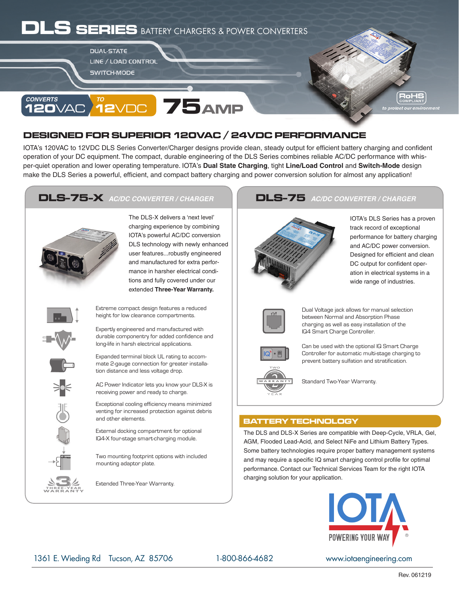# **SERIES** BATTERY CHARGERS & POWER CONVERTERS

**DUAL-STATE LINE / LOAD CONTROL SWITCH-MODE** 



#### **75 120**VAC *TO* **12**VDC

### **DESIGNED FOR SUPERIOR 120VAC / 24VDC PERFORMANCE**

IOTA's 120VAC to 12VDC DLS Series Converter/Charger designs provide clean, steady output for efficient battery charging and confident operation of your DC equipment. The compact, durable engineering of the DLS Series combines reliable AC/DC performance with whisper-quiet operation and lower operating temperature. IOTA's **Dual State Charging**, tight **Line/Load Control** and **Switch-Mode** design make the DLS Series a powerful, efficient, and compact battery charging and power conversion solution for almost any application!

### **DLS-75-X AC/DC CONVERTER / CHARGER**



The DLS-X delivers a 'next level' charging experience by combining IOTA's powerful AC/DC conversion DLS technology with newly enhanced user features...robustly engineered and manufactured for extra performance in harsher electrical conditions and fully covered under our extended **Three-Year Warranty.**



WARRANTY **THREE-YEAR**

Extreme compact design features a reduced height for low clearance compartments.

Expertly engineered and manufactured with durable componentry for added confidence and long-life in harsh electrical applications.

Expanded terminal block UL rating to accommate 2-gauge connection for greater installation distance and less voltage drop.

AC Power Indicator lets you know your DLS-X is receiving power and ready to charge.

Exceptional cooling efficiency means minimized venting for increased protection against debris and other elements.

External docking compartment for optional IQ4-X four-stage smart-charging module.

Two mounting footprint options with included mounting adaptor plate.

Extended Three-Year Warranty.

### AC/DC CONVERTER / CHARGER **AC/DC CONVERTER / CHARGER**



IOTA's DLS Series has a proven track record of exceptional performance for battery charging and AC/DC power conversion. Designed for efficient and clean DC output for confident operation in electrical systems in a wide range of industries.



Dual Voltage jack allows for manual selection between Normal and Absorption Phase charging as well as easy installation of the IQ4 Smart Charge Controller.



Can be used with the optional IQ Smart Charge Controller for automatic multi-stage charging to prevent battery sulfation and stratification.

Standard Two-Year Warranty.

### **BATTERY TECHNOLOGY**

The DLS and DLS-X Series are compatible with Deep-Cycle, VRLA, Gel, AGM, Flooded Lead-Acid, and Select NiFe and Lithium Battery Types. Some battery technologies require proper battery management systems and may require a specific IQ smart charging control profile for optimal performance. Contact our Technical Services Team for the right IOTA charging solution for your application.



1361 E. Wieding Rd Tucson, AZ 85706 1-800-866-4682 www.iotaengineering.com